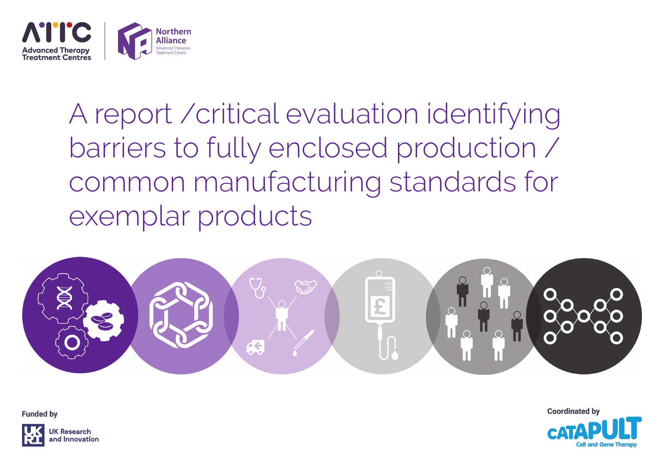

## A report /critical evaluation identifying barriers to fully enclosed production / common manufacturing standards for exemplar products



**Funded by** 



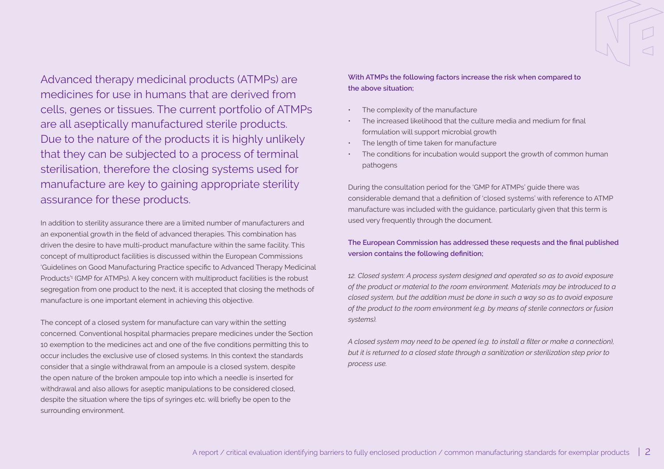Advanced therapy medicinal products (ATMPs) are medicines for use in humans that are derived from cells, genes or tissues. The current portfolio of ATMPs are all aseptically manufactured sterile products. Due to the nature of the products it is highly unlikely that they can be subjected to a process of terminal sterilisation, therefore the closing systems used for manufacture are key to gaining appropriate sterility assurance for these products.

In addition to sterility assurance there are a limited number of manufacturers and an exponential growth in the field of advanced therapies. This combination has driven the desire to have multi-product manufacture within the same facility. This concept of multiproduct facilities is discussed within the European Commissions 'Guidelines on Good Manufacturing Practice specific to Advanced Therapy Medicinal Products'1 (GMP for ATMPs). A key concern with multiproduct facilities is the robust segregation from one product to the next, it is accepted that closing the methods of manufacture is one important element in achieving this objective.

The concept of a closed system for manufacture can vary within the setting concerned. Conventional hospital pharmacies prepare medicines under the Section 10 exemption to the medicines act and one of the five conditions permitting this to occur includes the exclusive use of closed systems. In this context the standards consider that a single withdrawal from an ampoule is a closed system, despite the open nature of the broken ampoule top into which a needle is inserted for withdrawal and also allows for aseptic manipulations to be considered closed, despite the situation where the tips of syringes etc. will briefly be open to the surrounding environment.

**With ATMPs the following factors increase the risk when compared to the above situation;** 

- The complexity of the manufacture
- The increased likelihood that the culture media and medium for final formulation will support microbial growth
- The length of time taken for manufacture
- The conditions for incubation would support the growth of common human pathogens

During the consultation period for the 'GMP for ATMPs' guide there was considerable demand that a definition of 'closed systems' with reference to ATMP manufacture was included with the guidance, particularly given that this term is used very frequently through the document.

## **The European Commission has addressed these requests and the final published version contains the following definition;**

*12. Closed system: A process system designed and operated so as to avoid exposure of the product or material to the room environment. Materials may be introduced to a closed system, but the addition must be done in such a way so as to avoid exposure of the product to the room environment (e.g. by means of sterile connectors or fusion systems).* 

*A closed system may need to be opened (e.g. to install a filter or make a connection), but it is returned to a closed state through a sanitization or sterilization step prior to process use.*